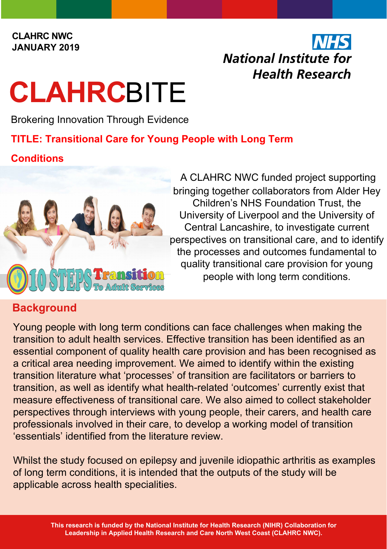#### **CLAHRC NWC JANUARY 2019**

## National Institute for **Health Research**

# **CLAHRC**BITE

Brokering Innovation Through Evidence

#### **TITLE: Transitional Care for Young People with Long Term**

#### **Conditions**



A CLAHRC NWC funded project supporting bringing together collaborators from Alder Hey Children's NHS Foundation Trust, the University of Liverpool and the University of Central Lancashire, to investigate current perspectives on transitional care, and to identify the processes and outcomes fundamental to quality transitional care provision for young people with long term conditions.

### **Background**

Young people with long term conditions can face challenges when making the transition to adult health services. Effective transition has been identified as an essential component of quality health care provision and has been recognised as a critical area needing improvement. We aimed to identify within the existing transition literature what 'processes' of transition are facilitators or barriers to transition, as well as identify what health-related 'outcomes' currently exist that measure effectiveness of transitional care. We also aimed to collect stakeholder perspectives through interviews with young people, their carers, and health care professionals involved in their care, to develop a working model of transition 'essentials' identified from the literature review.

Whilst the study focused on epilepsy and juvenile idiopathic arthritis as examples of long term conditions, it is intended that the outputs of the study will be applicable across health specialities.